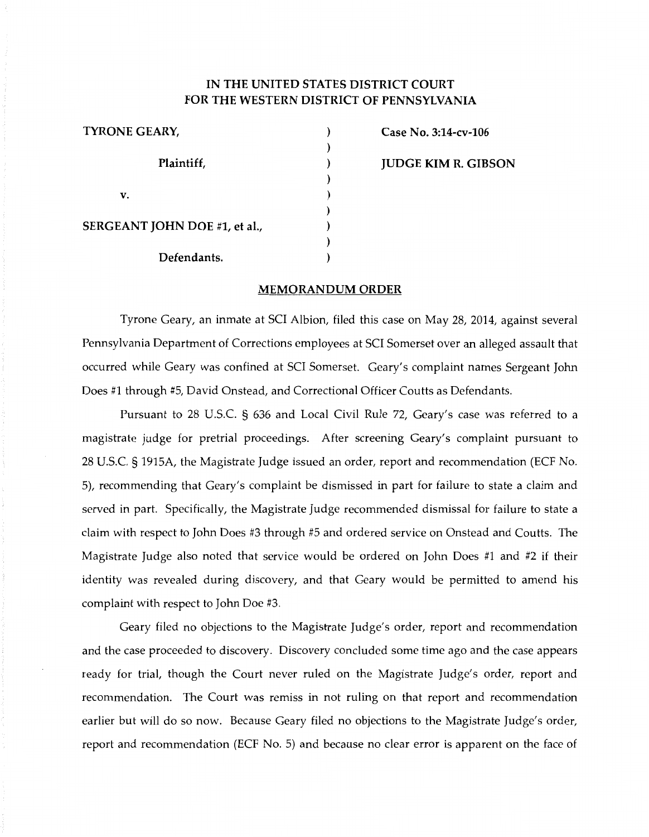## IN THE UNITED STATES DISTRICT COURT FOR THE WESTERN DISTRICT OF PENNSYLVANIA

| <b>TYRONE GEARY,</b>          |  |
|-------------------------------|--|
| Plaintiff,                    |  |
|                               |  |
| v.                            |  |
|                               |  |
| SERGEANT JOHN DOE #1, et al., |  |
|                               |  |
| Defendants.                   |  |

Case No. 3:14-cv-106 JUDGE KIM R. GIBSON

## MEMORANDUM ORDER

Tyrone Geary, an inmate at SCI Albion, filed this case on May 28, 2014, against several Pennsylvania Department of Corrections employees at SCI Somerset over an alleged assault that occurred while Geary was confined at SCI Somerset. Geary's complaint names Sergeant John Does #1 through #5, David Onstead, and Correctional Officer Coutts as Defendants.

Pursuant to 28 U.S.C. § 636 and Local Civil Rule 72, Geary's case was referred to a magistrate judge for pretrial proceedings. After screening Geary's complaint pursuant to 28 U.S.C. § 1915A, the Magistrate Judge issued an order, report and recommendation (ECF No. 5), recommending that Geary's complaint be dismissed in part for failure to state a claim and served in part. Specifically, the Magistrate Judge recommended dismissal for failure to state a claim with respect to John Does #3 through #5 and ordered service on Onstead and Coutts. The Magistrate Judge also noted that service would be ordered on John Does #1 and #2 if their identity was revealed during discovery, and that Geary would be permitted to amend his complaint with respect to John Doe #3.

Geary filed no objections to the Magistrate Judge's order, report and recommendation and the case proceeded to discovery. Discovery concluded some time ago and the case appears ready for trial, though the Court never ruled on the Magistrate Judge's order, report and recommendation. The Court was remiss in not ruling on that report and recommendation earlier but will do so now. Because Geary filed no objections to the Magistrate Judge's order, report and recommendation (ECF No. 5) and because no clear error is apparent on the face of